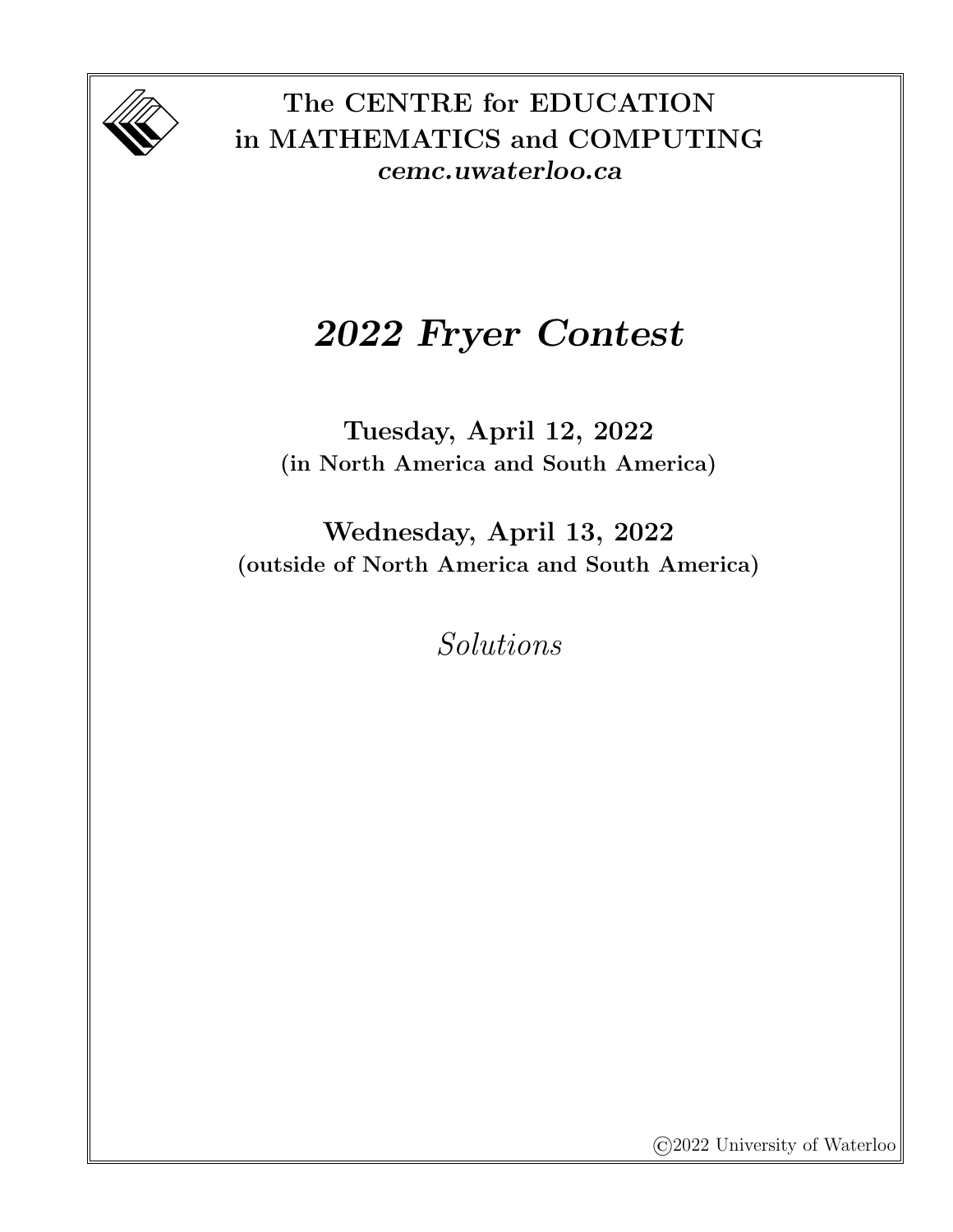

The CENTRE for EDUCATION in MATHEMATICS and COMPUTING cemc.uwaterloo.ca

## 2022 Fryer Contest

Tuesday, April 12, 2022 (in North America and South America)

Wednesday, April 13, 2022 (outside of North America and South America)

Solutions

©2022 University of Waterloo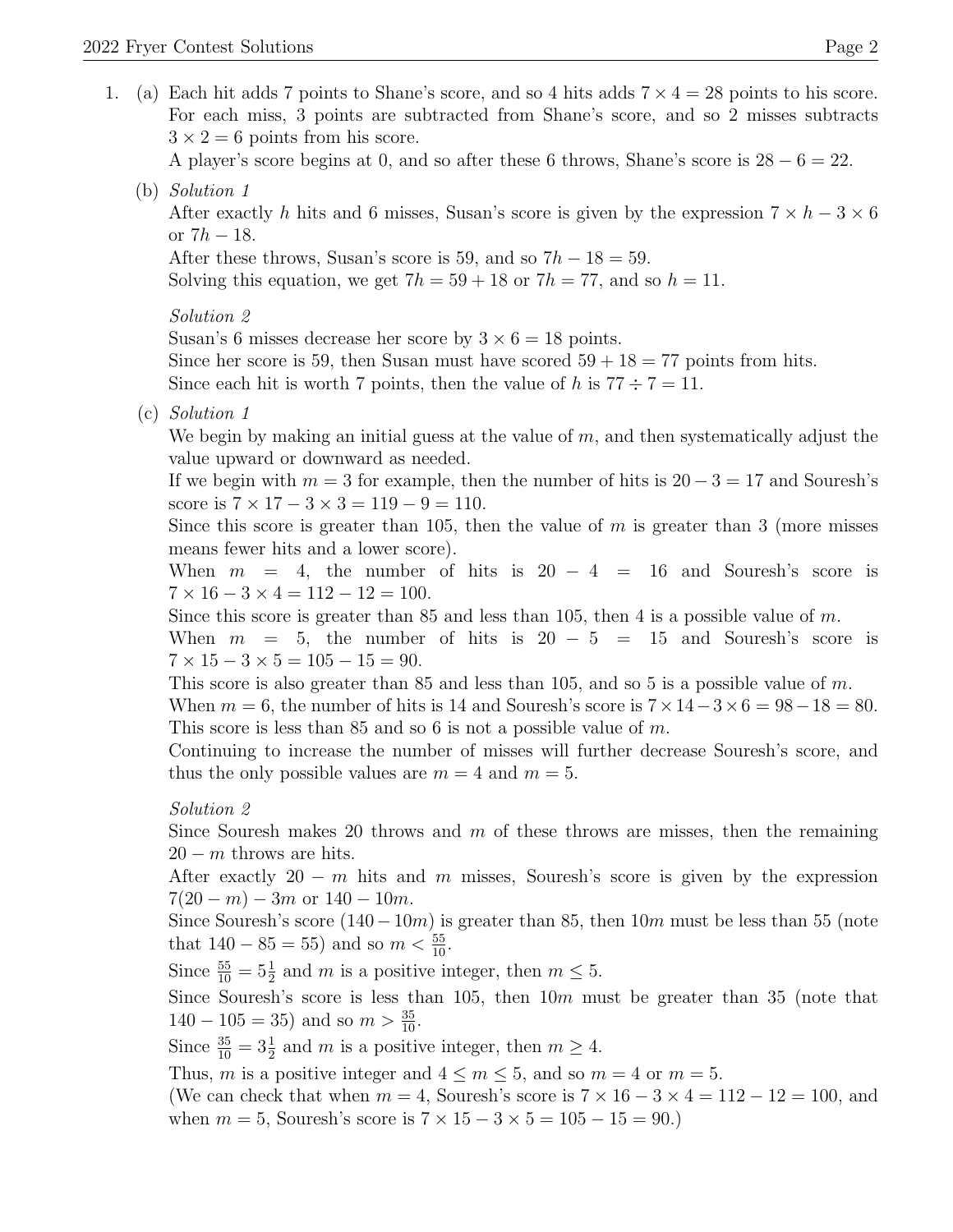1. (a) Each hit adds 7 points to Shane's score, and so 4 hits adds  $7 \times 4 = 28$  points to his score. For each miss, 3 points are subtracted from Shane's score, and so 2 misses subtracts  $3 \times 2 = 6$  points from his score.

A player's score begins at 0, and so after these 6 throws, Shane's score is  $28 - 6 = 22$ .

(b) Solution 1

After exactly h hits and 6 misses, Susan's score is given by the expression  $7 \times h - 3 \times 6$ or  $7h - 18$ .

After these throws, Susan's score is 59, and so  $7h - 18 = 59$ .

Solving this equation, we get  $7h = 59 + 18$  or  $7h = 77$ , and so  $h = 11$ .

Solution 2

Susan's 6 misses decrease her score by  $3 \times 6 = 18$  points.

Since her score is 59, then Susan must have scored  $59 + 18 = 77$  points from hits.

Since each hit is worth 7 points, then the value of h is  $77 \div 7 = 11$ .

(c) Solution 1

We begin by making an initial guess at the value of  $m$ , and then systematically adjust the value upward or downward as needed.

If we begin with  $m = 3$  for example, then the number of hits is  $20 - 3 = 17$  and Souresh's score is  $7 \times 17 - 3 \times 3 = 119 - 9 = 110$ .

Since this score is greater than 105, then the value of  $m$  is greater than 3 (more misses means fewer hits and a lower score).

When  $m = 4$ , the number of hits is  $20 - 4 = 16$  and Souresh's score is  $7 \times 16 - 3 \times 4 = 112 - 12 = 100.$ 

Since this score is greater than 85 and less than 105, then 4 is a possible value of  $m$ .

When  $m = 5$ , the number of hits is  $20 - 5 = 15$  and Souresh's score is  $7 \times 15 - 3 \times 5 = 105 - 15 = 90.$ 

This score is also greater than  $85$  and less than 105, and so 5 is a possible value of m. When  $m = 6$ , the number of hits is 14 and Souresh's score is  $7 \times 14 - 3 \times 6 = 98 - 18 = 80$ . This score is less than 85 and so 6 is not a possible value of  $m$ .

Continuing to increase the number of misses will further decrease Souresh's score, and thus the only possible values are  $m = 4$  and  $m = 5$ .

## Solution 2

Since Souresh makes 20 throws and  $m$  of these throws are misses, then the remaining  $20 - m$  throws are hits.

After exactly 20 − m hits and m misses, Souresh's score is given by the expression  $7(20 - m) - 3m$  or  $140 - 10m$ .

Since Souresh's score  $(140-10m)$  is greater than 85, then  $10m$  must be less than 55 (note that  $140 - 85 = 55$ ) and so  $m < \frac{55}{10}$ .

Since  $\frac{55}{10} = 5\frac{1}{2}$  and m is a positive integer, then  $m \leq 5$ .

Since Souresh's score is less than 105, then  $10m$  must be greater than 35 (note that  $140 - 105 = 35$  and so  $m > \frac{35}{10}$ .

Since  $\frac{35}{10} = 3\frac{1}{2}$  and m is a positive integer, then  $m \ge 4$ .

Thus, m is a positive integer and  $4 \le m \le 5$ , and so  $m = 4$  or  $m = 5$ .

(We can check that when  $m = 4$ , Souresh's score is  $7 \times 16 - 3 \times 4 = 112 - 12 = 100$ , and when  $m = 5$ , Souresh's score is  $7 \times 15 - 3 \times 5 = 105 - 15 = 90$ .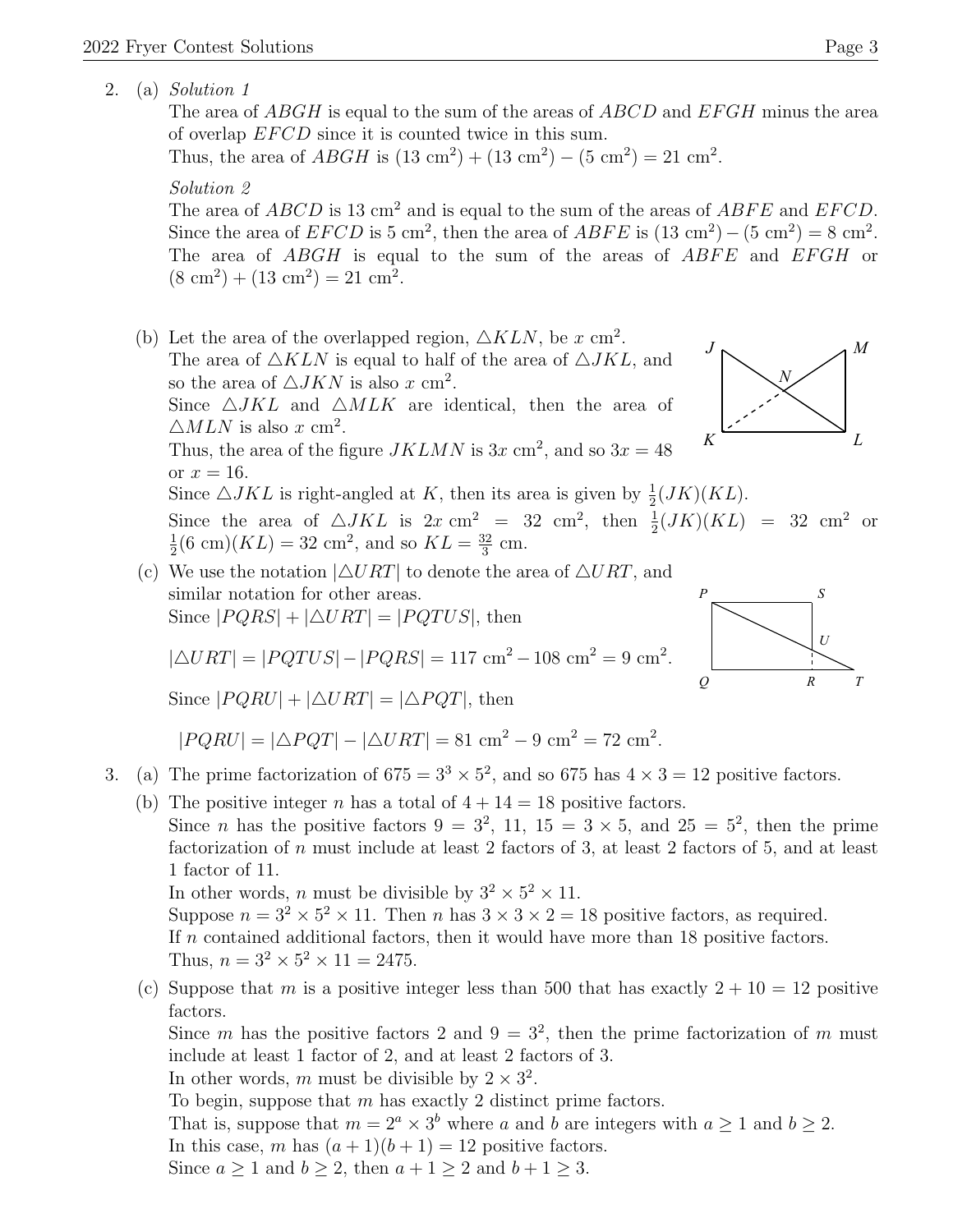2. (a) Solution 1

The area of ABGH is equal to the sum of the areas of ABCD and EFGH minus the area of overlap  $EFCD$  since it is counted twice in this sum.

Thus, the area of  $ABGH$  is  $(13 \text{ cm}^2) + (13 \text{ cm}^2) - (5 \text{ cm}^2) = 21 \text{ cm}^2$ .

## Solution 2

The area of  $ABCD$  is 13 cm<sup>2</sup> and is equal to the sum of the areas of  $ABFE$  and  $EFCD$ . Since the area of  $EFCD$  is 5 cm<sup>2</sup>, then the area of  $ABFE$  is  $(13 \text{ cm}^2) - (5 \text{ cm}^2) = 8 \text{ cm}^2$ . The area of ABGH is equal to the sum of the areas of ABFE and EFGH or  $(8 \text{ cm}^2) + (13 \text{ cm}^2) = 21 \text{ cm}^2$ .

- (b) Let the area of the overlapped region,  $\triangle KLN$ , be x cm<sup>2</sup>. The area of  $\triangle KLN$  is equal to half of the area of  $\triangle JKL$ , and so the area of  $\triangle JKN$  is also x cm<sup>2</sup>. Since  $\triangle JKL$  and  $\triangle MLK$  are identical, then the area of  $\triangle MLN$  is also x cm<sup>2</sup>. Thus, the area of the figure  $JKLMN$  is  $3x \text{ cm}^2$ , and so  $3x = 48$ or  $x = 16$ . *J*  $K$   $L$ *N* Since  $\triangle JKL$  is right-angled at K, then its area is given by  $\frac{1}{2}(JK)(KL)$ . Since the area of  $\triangle JKL$  is  $2x \text{ cm}^2 = 32 \text{ cm}^2$ , then  $\frac{1}{2}(JK)(KL) = 32 \text{ cm}^2$  or 1  $\frac{1}{2}$ (6 cm)( $KL$ ) = 32 cm<sup>2</sup>, and so  $KL = \frac{32}{3}$  $\frac{32}{3}$  cm.
- (c) We use the notation  $|\triangle URT|$  to denote the area of  $\triangle URT$ , and similar notation for other areas. Since  $|PQRS| + |\triangle URT| = |PQTUS|$ , then

$$
|\triangle URT| = |PQTUS| - |PQRS| = 117 \text{ cm}^2 - 108 \text{ cm}^2 = 9 \text{ cm}^2.
$$

Since  $|PQRU| + |\Delta URT| = |\Delta PQT|$ , then

$$
|PQRU| = |\triangle PQT| - |\triangle URT| = 81 \text{ cm}^2 - 9 \text{ cm}^2 = 72 \text{ cm}^2.
$$

- 3. (a) The prime factorization of  $675 = 3^3 \times 5^2$ , and so 675 has  $4 \times 3 = 12$  positive factors.
	- (b) The positive integer n has a total of  $4 + 14 = 18$  positive factors.
		- Since *n* has the positive factors  $9 = 3^2$ , 11,  $15 = 3 \times 5$ , and  $25 = 5^2$ , then the prime factorization of n must include at least 2 factors of 3, at least 2 factors of 5, and at least 1 factor of 11.

In other words, *n* must be divisible by  $3^2 \times 5^2 \times 11$ .

Suppose  $n = 3^2 \times 5^2 \times 11$ . Then n has  $3 \times 3 \times 2 = 18$  positive factors, as required. If  $n$  contained additional factors, then it would have more than 18 positive factors. Thus,  $n = 3^2 \times 5^2 \times 11 = 2475$ .

(c) Suppose that m is a positive integer less than 500 that has exactly  $2 + 10 = 12$  positive factors.

Since m has the positive factors 2 and  $9 = 3^2$ , then the prime factorization of m must include at least 1 factor of 2, and at least 2 factors of 3.

In other words, m must be divisible by  $2 \times 3^2$ .

To begin, suppose that  $m$  has exactly 2 distinct prime factors.

That is, suppose that  $m = 2^a \times 3^b$  where a and b are integers with  $a \ge 1$  and  $b \ge 2$ .

In this case, m has  $(a + 1)(b + 1) = 12$  positive factors.

Since  $a \ge 1$  and  $b \ge 2$ , then  $a + 1 \ge 2$  and  $b + 1 \ge 3$ .



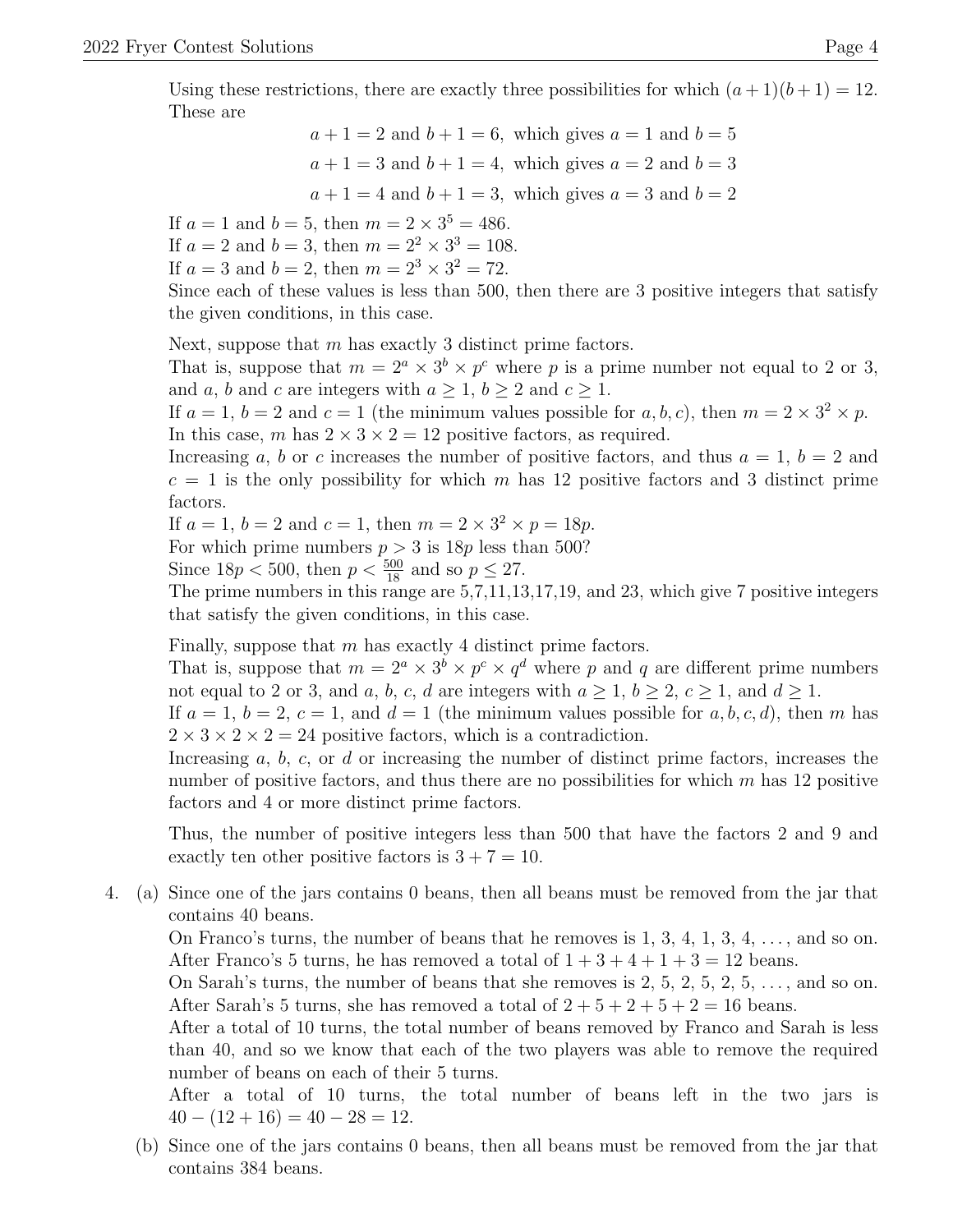Using these restrictions, there are exactly three possibilities for which  $(a+1)(b+1) = 12$ . These are

> $a+1=2$  and  $b+1=6$ , which gives  $a=1$  and  $b=5$  $a+1=3$  and  $b+1=4$ , which gives  $a=2$  and  $b=3$  $a+1=4$  and  $b+1=3$ , which gives  $a=3$  and  $b=2$

If  $a = 1$  and  $b = 5$ , then  $m = 2 \times 3^5 = 486$ .

If  $a = 2$  and  $b = 3$ , then  $m = 2^2 \times 3^3 = 108$ .

If  $a = 3$  and  $b = 2$ , then  $m = 2^3 \times 3^2 = 72$ .

Since each of these values is less than 500, then there are 3 positive integers that satisfy the given conditions, in this case.

Next, suppose that  $m$  has exactly 3 distinct prime factors.

That is, suppose that  $m = 2^a \times 3^b \times p^c$  where p is a prime number not equal to 2 or 3, and a, b and c are integers with  $a \geq 1$ ,  $b \geq 2$  and  $c \geq 1$ .

If  $a = 1$ ,  $b = 2$  and  $c = 1$  (the minimum values possible for  $a, b, c$ ), then  $m = 2 \times 3^2 \times p$ . In this case, m has  $2 \times 3 \times 2 = 12$  positive factors, as required.

Increasing a, b or c increases the number of positive factors, and thus  $a = 1, b = 2$  and  $c = 1$  is the only possibility for which m has 12 positive factors and 3 distinct prime factors.

If  $a = 1, b = 2$  and  $c = 1$ , then  $m = 2 \times 3^2 \times p = 18p$ .

For which prime numbers  $p > 3$  is  $18p$  less than 500?

Since  $18p < 500$ , then  $p < \frac{500}{18}$  and so  $p \le 27$ .

The prime numbers in this range are 5,7,11,13,17,19, and 23, which give 7 positive integers that satisfy the given conditions, in this case.

Finally, suppose that  $m$  has exactly 4 distinct prime factors.

That is, suppose that  $m = 2^a \times 3^b \times p^c \times q^d$  where p and q are different prime numbers not equal to 2 or 3, and a, b, c, d are integers with  $a \geq 1$ ,  $b \geq 2$ ,  $c \geq 1$ , and  $d \geq 1$ .

If  $a = 1, b = 2, c = 1$ , and  $d = 1$  (the minimum values possible for a, b, c, d), then m has  $2 \times 3 \times 2 \times 2 = 24$  positive factors, which is a contradiction.

Increasing  $a, b, c, \text{or } d$  or increasing the number of distinct prime factors, increases the number of positive factors, and thus there are no possibilities for which  $m$  has 12 positive factors and 4 or more distinct prime factors.

Thus, the number of positive integers less than 500 that have the factors 2 and 9 and exactly ten other positive factors is  $3 + 7 = 10$ .

4. (a) Since one of the jars contains 0 beans, then all beans must be removed from the jar that contains 40 beans.

On Franco's turns, the number of beans that he removes is  $1, 3, 4, 1, 3, 4, \ldots$ , and so on. After Franco's 5 turns, he has removed a total of  $1+3+4+1+3=12$  beans.

On Sarah's turns, the number of beans that she removes is  $2, 5, 2, 5, 2, 5, \ldots$ , and so on. After Sarah's 5 turns, she has removed a total of  $2 + 5 + 2 + 5 + 2 = 16$  beans.

After a total of 10 turns, the total number of beans removed by Franco and Sarah is less than 40, and so we know that each of the two players was able to remove the required number of beans on each of their 5 turns.

After a total of 10 turns, the total number of beans left in the two jars is  $40 - (12 + 16) = 40 - 28 = 12.$ 

(b) Since one of the jars contains 0 beans, then all beans must be removed from the jar that contains 384 beans.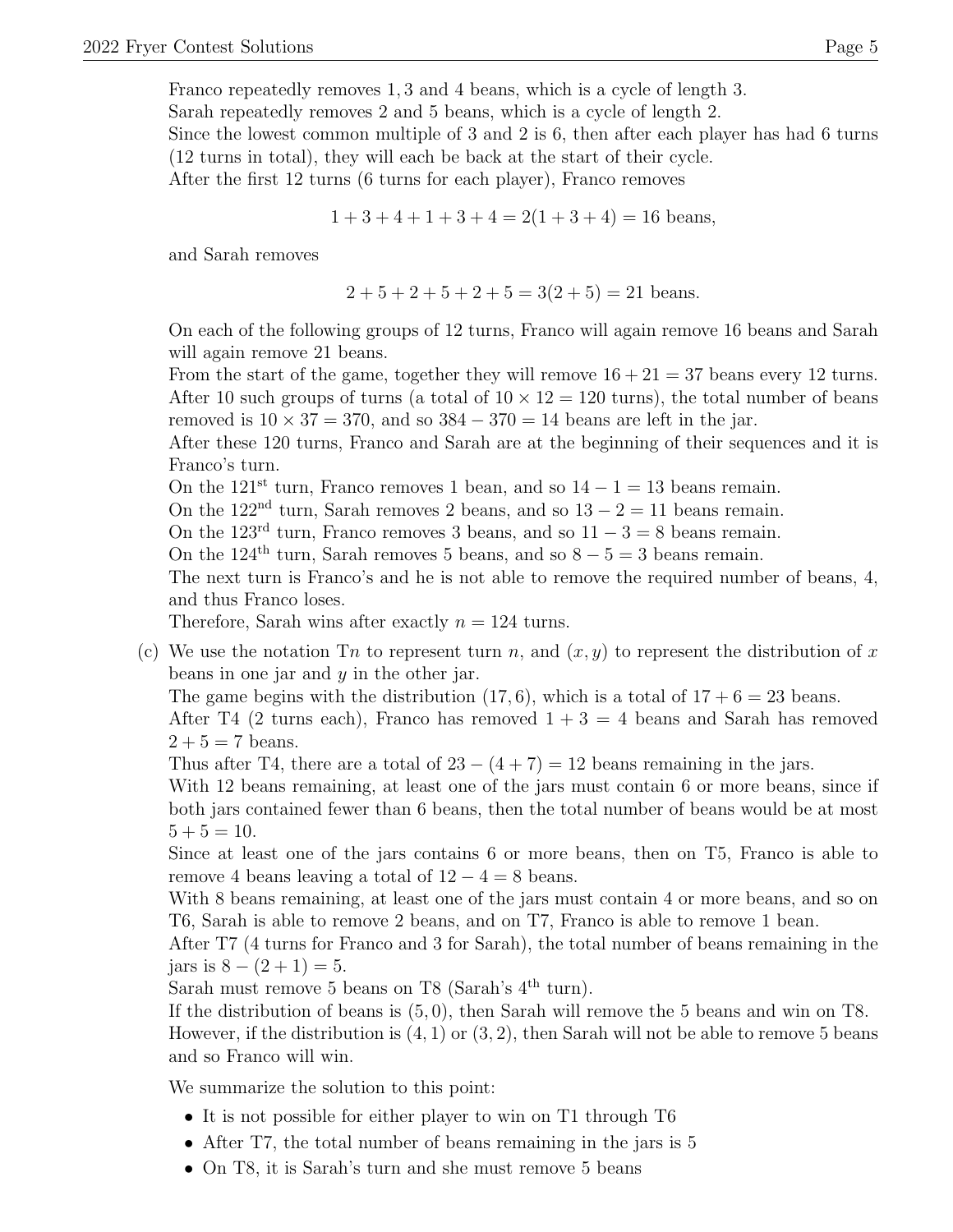Franco repeatedly removes 1, 3 and 4 beans, which is a cycle of length 3. Sarah repeatedly removes 2 and 5 beans, which is a cycle of length 2. Since the lowest common multiple of 3 and 2 is 6, then after each player has had 6 turns

(12 turns in total), they will each be back at the start of their cycle.

After the first 12 turns (6 turns for each player), Franco removes

$$
1+3+4+1+3+4 = 2(1+3+4) = 16
$$
 beans,

and Sarah removes

$$
2+5+2+5+2+5=3(2+5)=21
$$
 beans.

On each of the following groups of 12 turns, Franco will again remove 16 beans and Sarah will again remove 21 beans.

From the start of the game, together they will remove  $16 + 21 = 37$  beans every 12 turns. After 10 such groups of turns (a total of  $10 \times 12 = 120$  turns), the total number of beans removed is  $10 \times 37 = 370$ , and so  $384 - 370 = 14$  beans are left in the jar.

After these 120 turns, Franco and Sarah are at the beginning of their sequences and it is Franco's turn.

On the 121<sup>st</sup> turn, Franco removes 1 bean, and so  $14 - 1 = 13$  beans remain.

On the 122<sup>nd</sup> turn, Sarah removes 2 beans, and so  $13 - 2 = 11$  beans remain.

On the 123<sup>rd</sup> turn, Franco removes 3 beans, and so  $11 - 3 = 8$  beans remain.

On the 124<sup>th</sup> turn, Sarah removes 5 beans, and so  $8 - 5 = 3$  beans remain.

The next turn is Franco's and he is not able to remove the required number of beans, 4, and thus Franco loses.

Therefore, Sarah wins after exactly  $n = 124$  turns.

(c) We use the notation Tn to represent turn n, and  $(x, y)$  to represent the distribution of x beans in one jar and y in the other jar.

The game begins with the distribution  $(17, 6)$ , which is a total of  $17 + 6 = 23$  beans.

After T4 (2 turns each), Franco has removed  $1+3=4$  beans and Sarah has removed  $2 + 5 = 7$  beans.

Thus after T4, there are a total of  $23 - (4 + 7) = 12$  beans remaining in the jars.

With 12 beans remaining, at least one of the jars must contain 6 or more beans, since if both jars contained fewer than 6 beans, then the total number of beans would be at most  $5 + 5 = 10$ .

Since at least one of the jars contains 6 or more beans, then on T5, Franco is able to remove 4 beans leaving a total of  $12 - 4 = 8$  beans.

With 8 beans remaining, at least one of the jars must contain 4 or more beans, and so on T6, Sarah is able to remove 2 beans, and on T7, Franco is able to remove 1 bean.

After T7 (4 turns for Franco and 3 for Sarah), the total number of beans remaining in the jars is  $8 - (2 + 1) = 5$ .

Sarah must remove 5 beans on T8 (Sarah's  $4<sup>th</sup>$  turn).

If the distribution of beans is (5, 0), then Sarah will remove the 5 beans and win on T8. However, if the distribution is  $(4, 1)$  or  $(3, 2)$ , then Sarah will not be able to remove 5 beans and so Franco will win.

We summarize the solution to this point:

- It is not possible for either player to win on T1 through T6
- After T7, the total number of beans remaining in the jars is 5
- On T8, it is Sarah's turn and she must remove 5 beans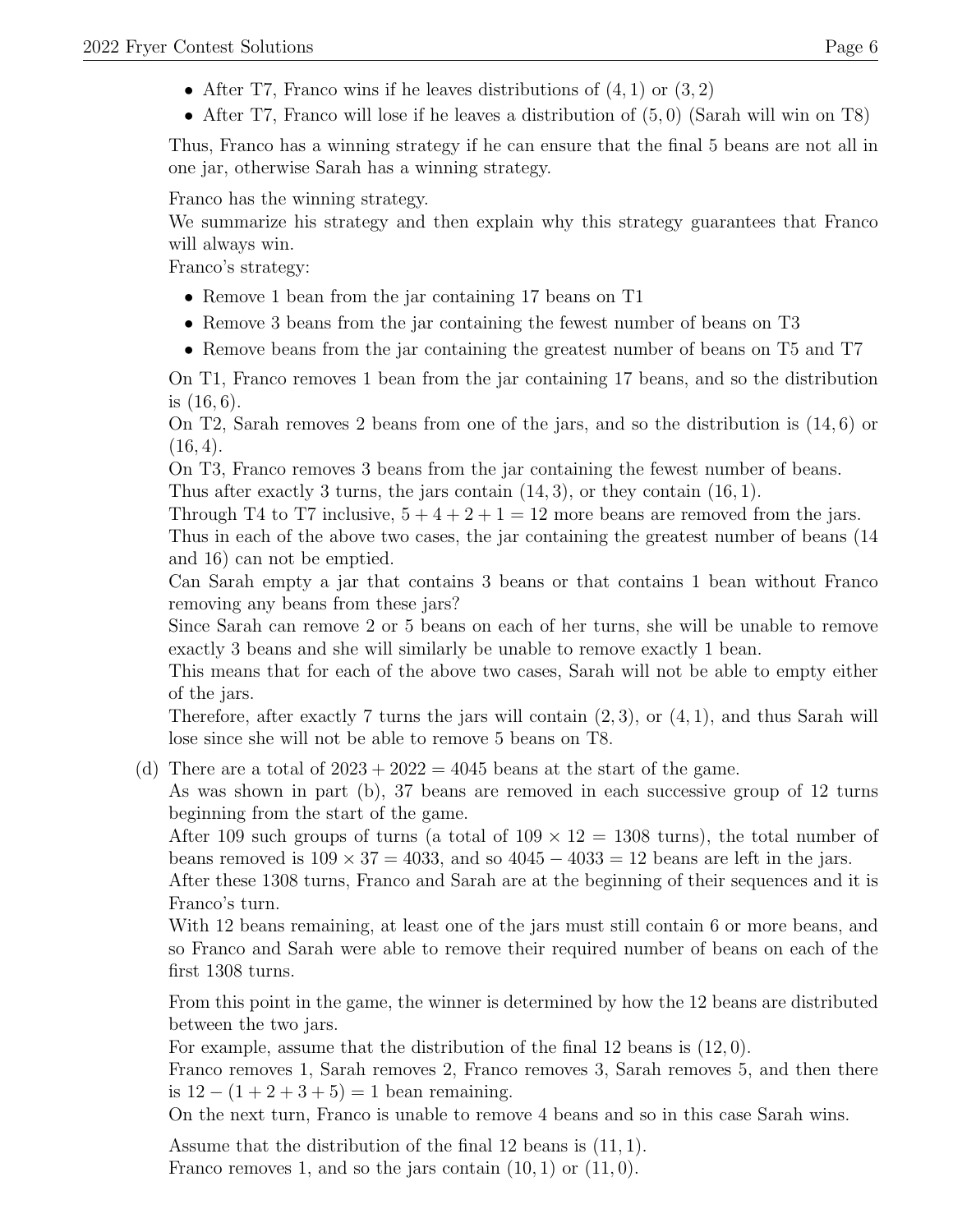- After T7, Franco wins if he leaves distributions of  $(4, 1)$  or  $(3, 2)$
- After T7, Franco will lose if he leaves a distribution of  $(5,0)$  (Sarah will win on T8)

Thus, Franco has a winning strategy if he can ensure that the final 5 beans are not all in one jar, otherwise Sarah has a winning strategy.

Franco has the winning strategy.

We summarize his strategy and then explain why this strategy guarantees that Franco will always win.

Franco's strategy:

- Remove 1 bean from the jar containing 17 beans on T1
- Remove 3 beans from the jar containing the fewest number of beans on T3
- Remove beans from the jar containing the greatest number of beans on T5 and T7

On T1, Franco removes 1 bean from the jar containing 17 beans, and so the distribution is (16, 6).

On T2, Sarah removes 2 beans from one of the jars, and so the distribution is (14, 6) or  $(16, 4).$ 

On T3, Franco removes 3 beans from the jar containing the fewest number of beans.

Thus after exactly 3 turns, the jars contain  $(14, 3)$ , or they contain  $(16, 1)$ .

Through T4 to T7 inclusive,  $5+4+2+1=12$  more beans are removed from the jars.

Thus in each of the above two cases, the jar containing the greatest number of beans (14 and 16) can not be emptied.

Can Sarah empty a jar that contains 3 beans or that contains 1 bean without Franco removing any beans from these jars?

Since Sarah can remove 2 or 5 beans on each of her turns, she will be unable to remove exactly 3 beans and she will similarly be unable to remove exactly 1 bean.

This means that for each of the above two cases, Sarah will not be able to empty either of the jars.

Therefore, after exactly 7 turns the jars will contain  $(2, 3)$ , or  $(4, 1)$ , and thus Sarah will lose since she will not be able to remove 5 beans on T8.

(d) There are a total of  $2023 + 2022 = 4045$  beans at the start of the game.

As was shown in part (b), 37 beans are removed in each successive group of 12 turns beginning from the start of the game.

After 109 such groups of turns (a total of  $109 \times 12 = 1308$  turns), the total number of beans removed is  $109 \times 37 = 4033$ , and so  $4045 - 4033 = 12$  beans are left in the jars.

After these 1308 turns, Franco and Sarah are at the beginning of their sequences and it is Franco's turn.

With 12 beans remaining, at least one of the jars must still contain 6 or more beans, and so Franco and Sarah were able to remove their required number of beans on each of the first 1308 turns.

From this point in the game, the winner is determined by how the 12 beans are distributed between the two jars.

For example, assume that the distribution of the final 12 beans is (12, 0).

Franco removes 1, Sarah removes 2, Franco removes 3, Sarah removes 5, and then there is  $12 - (1 + 2 + 3 + 5) = 1$  bean remaining.

On the next turn, Franco is unable to remove 4 beans and so in this case Sarah wins.

Assume that the distribution of the final 12 beans is (11, 1). Franco removes 1, and so the jars contain  $(10, 1)$  or  $(11, 0)$ .